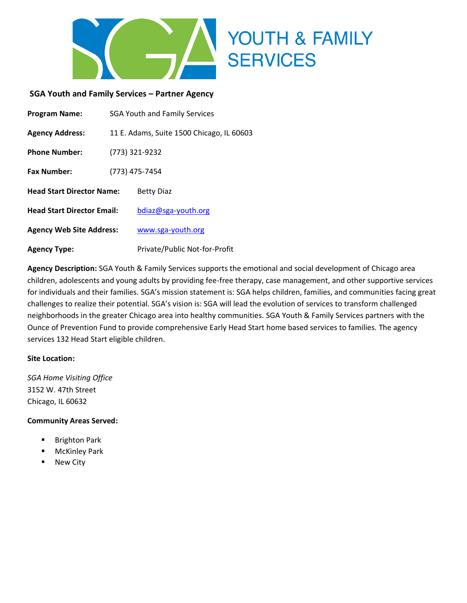

#### **SGA Youth and Family Services – Partner Agency**

| <b>Program Name:</b>              | <b>SGA Youth and Family Services</b>      |                               |  |
|-----------------------------------|-------------------------------------------|-------------------------------|--|
| <b>Agency Address:</b>            | 11 E. Adams, Suite 1500 Chicago, IL 60603 |                               |  |
| <b>Phone Number:</b>              | (773) 321-9232                            |                               |  |
| <b>Fax Number:</b>                | (773) 475-7454                            |                               |  |
| <b>Head Start Director Name:</b>  |                                           | <b>Betty Diaz</b>             |  |
| <b>Head Start Director Email:</b> |                                           | bdiaz@sga-youth.org           |  |
| <b>Agency Web Site Address:</b>   |                                           | www.sga-youth.org             |  |
| <b>Agency Type:</b>               |                                           | Private/Public Not-for-Profit |  |

**Agency Description:** SGA Youth & Family Services supports the emotional and social development of Chicago area children, adolescents and young adults by providing fee-free therapy, case management, and other supportive services for individuals and their families. SGA's mission statement is: SGA helps children, families, and communities facing great challenges to realize their potential. SGA's vision is: SGA will lead the evolution of services to transform challenged neighborhoods in the greater Chicago area into healthy communities. SGA Youth & Family Services partners with the Ounce of Prevention Fund to provide comprehensive Early Head Start home based services to families. The agency services 132 Head Start eligible children.

#### **Site Location:**

*SGA Home Visiting Office* 3152 W. 47th Street Chicago, IL 60632

#### **Community Areas Served:**

- **Brighton Park**
- **McKinley Park**
- New City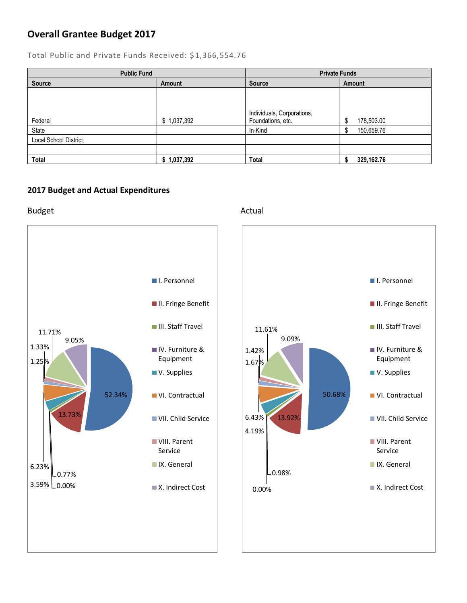### **Overall Grantee Budget 2017**

Total Public and Private Funds Received: \$1,366,554.76

| <b>Public Fund</b>           |             | <b>Private Funds</b>                            |                 |
|------------------------------|-------------|-------------------------------------------------|-----------------|
| <b>Source</b>                | Amount      | <b>Source</b>                                   | Amount          |
| Federal                      | \$1,037,392 | Individuals, Corporations,<br>Foundations, etc. | 178,503.00<br>c |
| State                        |             | In-Kind                                         | 150,659.76      |
| <b>Local School District</b> |             |                                                 |                 |
|                              |             |                                                 |                 |
| <b>Total</b>                 | \$1,037,392 | <b>Total</b>                                    | 329,162.76      |

### **2017 Budget and Actual Expenditures**

Budget **Actual** 

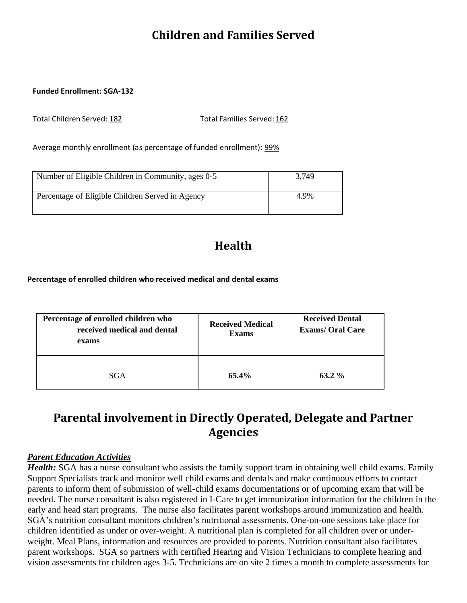## **Children and Families Served**

#### **Funded Enrollment: SGA-132**

Total Children Served: 182 Total Families Served: 162

Average monthly enrollment (as percentage of funded enrollment): 99%

| Number of Eligible Children in Community, ages 0-5 | 3.749 |
|----------------------------------------------------|-------|
| Percentage of Eligible Children Served in Agency   | 4.9%  |

## **Health**

**Percentage of enrolled children who received medical and dental exams**

| Percentage of enrolled children who<br>received medical and dental<br>exams | <b>Received Medical</b><br><b>Exams</b> | <b>Received Dental</b><br><b>Exams/Oral Care</b> |
|-----------------------------------------------------------------------------|-----------------------------------------|--------------------------------------------------|
| SGA                                                                         | 65.4%                                   | $63.2\%$                                         |

## **Parental involvement in Directly Operated, Delegate and Partner Agencies**

#### *Parent Education Activities*

*Health:* SGA has a nurse consultant who assists the family support team in obtaining well child exams. Family Support Specialists track and monitor well child exams and dentals and make continuous efforts to contact parents to inform them of submission of well-child exams documentations or of upcoming exam that will be needed. The nurse consultant is also registered in I-Care to get immunization information for the children in the early and head start programs. The nurse also facilitates parent workshops around immunization and health. SGA's nutrition consultant monitors children's nutritional assessments. One-on-one sessions take place for children identified as under or over-weight. A nutritional plan is completed for all children over or underweight. Meal Plans, information and resources are provided to parents. Nutrition consultant also facilitates parent workshops. SGA so partners with certified Hearing and Vision Technicians to complete hearing and vision assessments for children ages 3-5. Technicians are on site 2 times a month to complete assessments for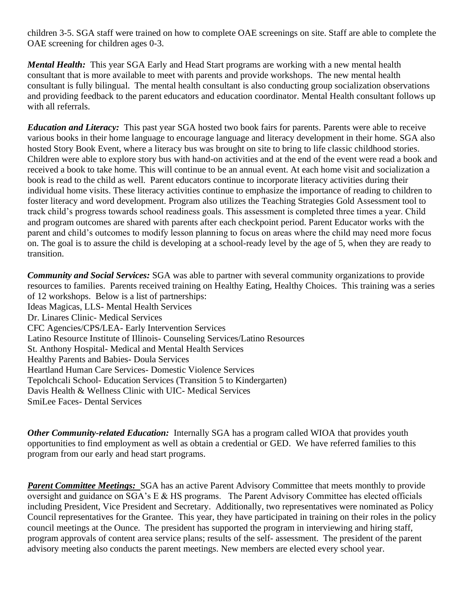children 3-5. SGA staff were trained on how to complete OAE screenings on site. Staff are able to complete the OAE screening for children ages 0-3.

*Mental Health:* This year SGA Early and Head Start programs are working with a new mental health consultant that is more available to meet with parents and provide workshops. The new mental health consultant is fully bilingual. The mental health consultant is also conducting group socialization observations and providing feedback to the parent educators and education coordinator. Mental Health consultant follows up with all referrals.

*Education and Literacy:* This past year SGA hosted two book fairs for parents. Parents were able to receive various books in their home language to encourage language and literacy development in their home. SGA also hosted Story Book Event, where a literacy bus was brought on site to bring to life classic childhood stories. Children were able to explore story bus with hand-on activities and at the end of the event were read a book and received a book to take home. This will continue to be an annual event. At each home visit and socialization a book is read to the child as well. Parent educators continue to incorporate literacy activities during their individual home visits. These literacy activities continue to emphasize the importance of reading to children to foster literacy and word development. Program also utilizes the Teaching Strategies Gold Assessment tool to track child's progress towards school readiness goals. This assessment is completed three times a year. Child and program outcomes are shared with parents after each checkpoint period. Parent Educator works with the parent and child's outcomes to modify lesson planning to focus on areas where the child may need more focus on. The goal is to assure the child is developing at a school-ready level by the age of 5, when they are ready to transition.

*Community and Social Services:* SGA was able to partner with several community organizations to provide resources to families.Parents received training on Healthy Eating, Healthy Choices. This training was a series of 12 workshops. Below is a list of partnerships: Ideas Magicas, LLS- Mental Health Services Dr. Linares Clinic- Medical Services CFC Agencies/CPS/LEA- Early Intervention Services Latino Resource Institute of Illinois- Counseling Services/Latino Resources St. Anthony Hospital- Medical and Mental Health Services Healthy Parents and Babies- Doula Services Heartland Human Care Services- Domestic Violence Services Tepolchcali School- Education Services (Transition 5 to Kindergarten) Davis Health & Wellness Clinic with UIC- Medical Services SmiLee Faces- Dental Services

*Other Community-related Education:* Internally SGA has a program called WIOA that provides youth opportunities to find employment as well as obtain a credential or GED. We have referred families to this program from our early and head start programs.

**Parent Committee Meetings:** SGA has an active Parent Advisory Committee that meets monthly to provide oversight and guidance on SGA's E & HS programs. The Parent Advisory Committee has elected officials including President, Vice President and Secretary. Additionally, two representatives were nominated as Policy Council representatives for the Grantee. This year, they have participated in training on their roles in the policy council meetings at the Ounce. The president has supported the program in interviewing and hiring staff, program approvals of content area service plans; results of the self- assessment. The president of the parent advisory meeting also conducts the parent meetings. New members are elected every school year.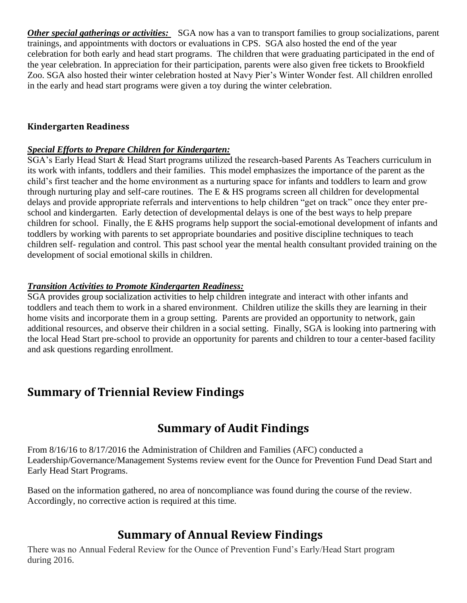*Other special gatherings or activities:* SGA now has a van to transport families to group socializations, parent trainings, and appointments with doctors or evaluations in CPS. SGA also hosted the end of the year celebration for both early and head start programs. The children that were graduating participated in the end of the year celebration. In appreciation for their participation, parents were also given free tickets to Brookfield Zoo. SGA also hosted their winter celebration hosted at Navy Pier's Winter Wonder fest. All children enrolled in the early and head start programs were given a toy during the winter celebration.

### **Kindergarten Readiness**

### *Special Efforts to Prepare Children for Kindergarten:*

SGA's Early Head Start & Head Start programs utilized the research-based Parents As Teachers curriculum in its work with infants, toddlers and their families. This model emphasizes the importance of the parent as the child's first teacher and the home environment as a nurturing space for infants and toddlers to learn and grow through nurturing play and self-care routines. The E & HS programs screen all children for developmental delays and provide appropriate referrals and interventions to help children "get on track" once they enter preschool and kindergarten. Early detection of developmental delays is one of the best ways to help prepare children for school. Finally, the E &HS programs help support the social-emotional development of infants and toddlers by working with parents to set appropriate boundaries and positive discipline techniques to teach children self- regulation and control. This past school year the mental health consultant provided training on the development of social emotional skills in children.

### *Transition Activities to Promote Kindergarten Readiness:*

SGA provides group socialization activities to help children integrate and interact with other infants and toddlers and teach them to work in a shared environment. Children utilize the skills they are learning in their home visits and incorporate them in a group setting. Parents are provided an opportunity to network, gain additional resources, and observe their children in a social setting. Finally, SGA is looking into partnering with the local Head Start pre-school to provide an opportunity for parents and children to tour a center-based facility and ask questions regarding enrollment.

## **Summary of Triennial Review Findings**

## **Summary of Audit Findings**

From 8/16/16 to 8/17/2016 the Administration of Children and Families (AFC) conducted a Leadership/Governance/Management Systems review event for the Ounce for Prevention Fund Dead Start and Early Head Start Programs.

Based on the information gathered, no area of noncompliance was found during the course of the review. Accordingly, no corrective action is required at this time.

## **Summary of Annual Review Findings**

There was no Annual Federal Review for the Ounce of Prevention Fund's Early/Head Start program during 2016.